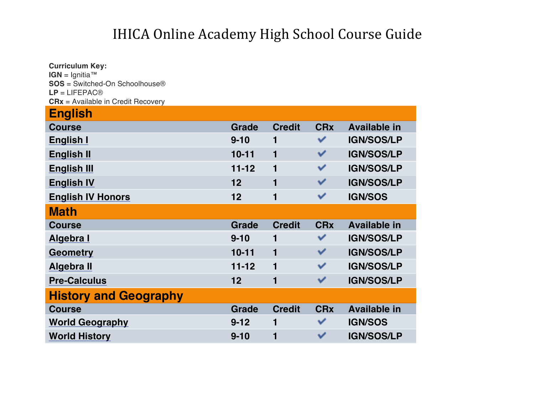| <b>Curriculum Key:</b>                                  |              |               |                       |                     |
|---------------------------------------------------------|--------------|---------------|-----------------------|---------------------|
| IGN = Ignitia <sup>™</sup>                              |              |               |                       |                     |
| $SOS = Switched$ -On Schoolhouse®                       |              |               |                       |                     |
| $LP = LIFEPAC@$<br>$CRx =$ Available in Credit Recovery |              |               |                       |                     |
| <b>English</b>                                          |              |               |                       |                     |
|                                                         |              |               |                       |                     |
| <b>Course</b>                                           | Grade        | <b>Credit</b> | <b>CR<sub>x</sub></b> | <b>Available in</b> |
| <b>English I</b>                                        | $9 - 10$     | 1             | ✓                     | <b>IGN/SOS/LP</b>   |
| <b>English II</b>                                       | $10 - 11$    | $\mathbf{1}$  | ✓                     | <b>IGN/SOS/LP</b>   |
| <b>English III</b>                                      | $11 - 12$    | $\mathbf{1}$  | ✔                     | <b>IGN/SOS/LP</b>   |
| <b>English IV</b>                                       | 12           | 1             | ✓                     | <b>IGN/SOS/LP</b>   |
| <b>English IV Honors</b>                                | 12           | 1             | ✓                     | <b>IGN/SOS</b>      |
| <b>Math</b>                                             |              |               |                       |                     |
| <b>Course</b>                                           | <b>Grade</b> | <b>Credit</b> | <b>CRx</b>            | <b>Available in</b> |
| Algebra I                                               | $9 - 10$     | 1             | ✓                     | <b>IGN/SOS/LP</b>   |
| <b>Geometry</b>                                         | $10 - 11$    | 1             | ✓                     | <b>IGN/SOS/LP</b>   |
| Algebra II                                              | $11 - 12$    | $\mathbf{1}$  | ✓                     | <b>IGN/SOS/LP</b>   |
| <b>Pre-Calculus</b>                                     | 12           | 1             | ✓                     | <b>IGN/SOS/LP</b>   |
| <b>History and Geography</b>                            |              |               |                       |                     |
| <b>Course</b>                                           | <b>Grade</b> | <b>Credit</b> | <b>CRx</b>            | <b>Available in</b> |
| <b>World Geography</b>                                  | $9 - 12$     | 1             | ✓                     | <b>IGN/SOS</b>      |
| <b>World History</b>                                    | $9 - 10$     | 1             | ✓                     | <b>IGN/SOS/LP</b>   |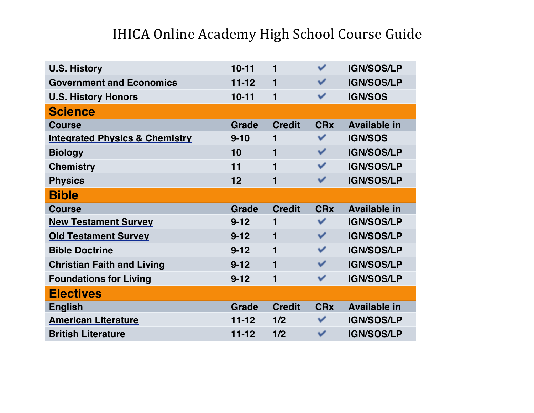| <b>U.S. History</b>                       | $10 - 11$    | 1             | ✓                     | <b>IGN/SOS/LP</b>   |
|-------------------------------------------|--------------|---------------|-----------------------|---------------------|
| <b>Government and Economics</b>           | $11 - 12$    | 1             | ✓                     | <b>IGN/SOS/LP</b>   |
| <b>U.S. History Honors</b>                | $10 - 11$    | 1             | ✓                     | <b>IGN/SOS</b>      |
| <b>Science</b>                            |              |               |                       |                     |
| <b>Course</b>                             | <b>Grade</b> | <b>Credit</b> | <b>CRx</b>            | <b>Available in</b> |
| <b>Integrated Physics &amp; Chemistry</b> | $9 - 10$     | 1             | ✓                     | <b>IGN/SOS</b>      |
| <b>Biology</b>                            | 10           | 1             | ✓                     | <b>IGN/SOS/LP</b>   |
| <b>Chemistry</b>                          | 11           | 1             | ✓                     | <b>IGN/SOS/LP</b>   |
| <b>Physics</b>                            | 12           | 1             | ✓                     | <b>IGN/SOS/LP</b>   |
| <b>Bible</b>                              |              |               |                       |                     |
|                                           |              |               |                       |                     |
| <b>Course</b>                             | <b>Grade</b> | <b>Credit</b> | <b>CR<sub>x</sub></b> | <b>Available in</b> |
| <b>New Testament Survey</b>               | $9 - 12$     | 1             | ✓                     | <b>IGN/SOS/LP</b>   |
| <b>Old Testament Survey</b>               | $9 - 12$     | 1             | ✓                     | <b>IGN/SOS/LP</b>   |
| <b>Bible Doctrine</b>                     | $9 - 12$     | 1             | ✓                     | <b>IGN/SOS/LP</b>   |
| <b>Christian Faith and Living</b>         | $9 - 12$     | 1             | ✓                     | <b>IGN/SOS/LP</b>   |
| <b>Foundations for Living</b>             | $9 - 12$     | 1             | ✓                     | <b>IGN/SOS/LP</b>   |
| <b>Electives</b>                          |              |               |                       |                     |
| <b>English</b>                            | <b>Grade</b> | <b>Credit</b> | <b>CRx</b>            | <b>Available in</b> |
| <b>American Literature</b>                | $11 - 12$    | 1/2           | ✓                     | <b>IGN/SOS/LP</b>   |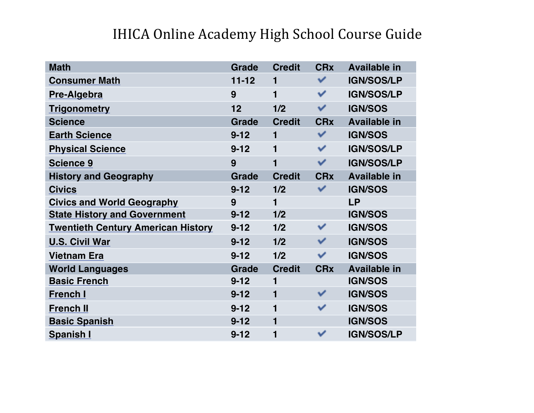| <b>Math</b>                               | <b>Grade</b> | <b>Credit</b>  | <b>CRx</b>   | <b>Available in</b> |
|-------------------------------------------|--------------|----------------|--------------|---------------------|
| <b>Consumer Math</b>                      | $11 - 12$    | $\mathbf{1}$   | ✓            | <b>IGN/SOS/LP</b>   |
| Pre-Algebra                               | 9            | $\mathbf{1}$   | ✓            | <b>IGN/SOS/LP</b>   |
| <b>Trigonometry</b>                       | 12           | 1/2            | ✓            | <b>IGN/SOS</b>      |
| <b>Science</b>                            | <b>Grade</b> | <b>Credit</b>  | <b>CRx</b>   | <b>Available in</b> |
| <b>Earth Science</b>                      | $9 - 12$     | $\mathbf{1}$   | ✓            | <b>IGN/SOS</b>      |
| <b>Physical Science</b>                   | $9 - 12$     | $\blacksquare$ | ✔            | <b>IGN/SOS/LP</b>   |
| <b>Science 9</b>                          | 9            | 1              | ✓            | <b>IGN/SOS/LP</b>   |
| <b>History and Geography</b>              | <b>Grade</b> | <b>Credit</b>  | <b>CRx</b>   | <b>Available in</b> |
| <b>Civics</b>                             | $9 - 12$     | 1/2            | $\checkmark$ | <b>IGN/SOS</b>      |
| <b>Civics and World Geography</b>         | 9            | $\mathbf{1}$   |              | <b>LP</b>           |
| <b>State History and Government</b>       | $9 - 12$     | 1/2            |              | <b>IGN/SOS</b>      |
| <b>Twentieth Century American History</b> | $9 - 12$     | 1/2            | ✓            | <b>IGN/SOS</b>      |
| <b>U.S. Civil War</b>                     | $9 - 12$     | 1/2            | ✓            | <b>IGN/SOS</b>      |
| <b>Vietnam Era</b>                        | $9 - 12$     | 1/2            | ✓            | <b>IGN/SOS</b>      |
| <b>World Languages</b>                    | <b>Grade</b> | <b>Credit</b>  | <b>CRx</b>   | <b>Available in</b> |
| <b>Basic French</b>                       | $9 - 12$     | 1              |              | <b>IGN/SOS</b>      |
| <b>French I</b>                           | $9 - 12$     | $\blacksquare$ |              | <b>IGN/SOS</b>      |
| <b>French II</b>                          | $9 - 12$     | 1              | ✓            | <b>IGN/SOS</b>      |
| <b>Basic Spanish</b>                      | $9 - 12$     | $\mathbf{1}$   |              | <b>IGN/SOS</b>      |
| Spanish I                                 | $9 - 12$     | 1              | ✓            | <b>IGN/SOS/LP</b>   |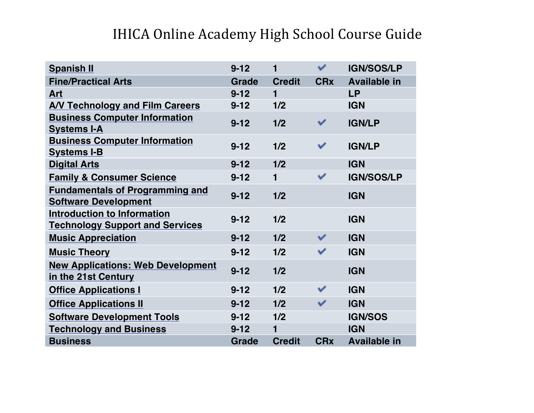| <b>Spanish II</b>                                                            | $9 - 12$     | 1              | ✓          | <b>IGN/SOS/LP</b>   |
|------------------------------------------------------------------------------|--------------|----------------|------------|---------------------|
| <b>Fine/Practical Arts</b>                                                   | <b>Grade</b> | <b>Credit</b>  | <b>CRx</b> | <b>Available in</b> |
| Art                                                                          | $9 - 12$     | $\blacksquare$ |            | <b>LP</b>           |
| <b>A/V Technology and Film Careers</b>                                       | $9 - 12$     | 1/2            |            | <b>IGN</b>          |
| <b>Business Computer Information</b><br><b>Systems I-A</b>                   | $9 - 12$     | 1/2            |            | <b>IGN/LP</b>       |
| <b>Business Computer Information</b><br><b>Systems I-B</b>                   | $9 - 12$     | 1/2            | ✓          | <b>IGN/LP</b>       |
| <b>Digital Arts</b>                                                          | $9 - 12$     | 1/2            |            | <b>IGN</b>          |
| <b>Family &amp; Consumer Science</b>                                         | $9 - 12$     | 1              | ✓          | <b>IGN/SOS/LP</b>   |
| <b>Fundamentals of Programming and</b><br><b>Software Development</b>        | $9 - 12$     | 1/2            |            | <b>IGN</b>          |
| <b>Introduction to Information</b><br><b>Technology Support and Services</b> | $9 - 12$     | 1/2            |            | <b>IGN</b>          |
| <b>Music Appreciation</b>                                                    | $9 - 12$     | 1/2            | ✓          | <b>IGN</b>          |
| <b>Music Theory</b>                                                          | $9 - 12$     | 1/2            | ✓          | <b>IGN</b>          |
| <b>New Applications: Web Development</b><br>in the 21st Century              | $9 - 12$     | 1/2            |            | <b>IGN</b>          |
| <b>Office Applications I</b>                                                 | $9 - 12$     | 1/2            | ✓          | <b>IGN</b>          |
| <b>Office Applications II</b>                                                | $9 - 12$     | 1/2            | ✓          | <b>IGN</b>          |
| <b>Software Development Tools</b>                                            | $9 - 12$     | 1/2            |            | <b>IGN/SOS</b>      |
| <b>Technology and Business</b>                                               | $9 - 12$     | 1              |            | <b>IGN</b>          |
| <b>Business</b>                                                              | <b>Grade</b> | <b>Credit</b>  | <b>CRx</b> | <b>Available in</b> |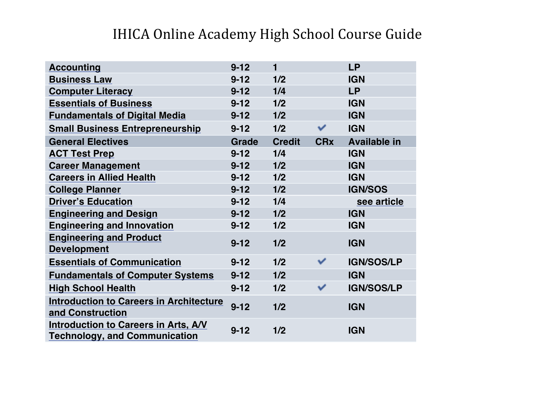| <b>Accounting</b>                                                                   | $9 - 12$     | $\blacksquare$ |            | <b>LP</b>           |
|-------------------------------------------------------------------------------------|--------------|----------------|------------|---------------------|
| <b>Business Law</b>                                                                 | $9 - 12$     | 1/2            |            | <b>IGN</b>          |
| <b>Computer Literacy</b>                                                            | $9 - 12$     | 1/4            |            | <b>LP</b>           |
| <b>Essentials of Business</b>                                                       | $9 - 12$     | 1/2            |            | <b>IGN</b>          |
| <b>Fundamentals of Digital Media</b>                                                | $9 - 12$     | 1/2            |            | <b>IGN</b>          |
| <b>Small Business Entrepreneurship</b>                                              | $9 - 12$     | 1/2            | ✓          | <b>IGN</b>          |
| <b>General Electives</b>                                                            | <b>Grade</b> | <b>Credit</b>  | <b>CRx</b> | <b>Available in</b> |
| <b>ACT Test Prep</b>                                                                | $9 - 12$     | 1/4            |            | <b>IGN</b>          |
| <b>Career Management</b>                                                            | $9 - 12$     | 1/2            |            | <b>IGN</b>          |
| <b>Careers in Allied Health</b>                                                     | $9 - 12$     | 1/2            |            | <b>IGN</b>          |
| <b>College Planner</b>                                                              | $9 - 12$     | 1/2            |            | <b>IGN/SOS</b>      |
| <b>Driver's Education</b>                                                           | $9 - 12$     | 1/4            |            | see article         |
| <b>Engineering and Design</b>                                                       | $9 - 12$     | 1/2            |            | <b>IGN</b>          |
| <b>Engineering and Innovation</b>                                                   | $9 - 12$     | 1/2            |            | <b>IGN</b>          |
| <b>Engineering and Product</b><br><b>Development</b>                                | $9 - 12$     | 1/2            |            | <b>IGN</b>          |
| <b>Essentials of Communication</b>                                                  | $9 - 12$     | 1/2            | ✓          | <b>IGN/SOS/LP</b>   |
| <b>Fundamentals of Computer Systems</b>                                             | $9 - 12$     | 1/2            |            | <b>IGN</b>          |
| <b>High School Health</b>                                                           | $9 - 12$     | 1/2            | ✓          | <b>IGN/SOS/LP</b>   |
| <b>Introduction to Careers in Architecture</b><br>and Construction                  | $9 - 12$     | 1/2            |            | <b>IGN</b>          |
| <b>Introduction to Careers in Arts, A/V</b><br><b>Technology, and Communication</b> | $9 - 12$     | 1/2            |            | <b>IGN</b>          |